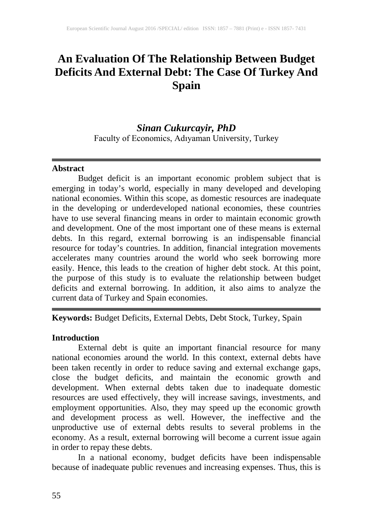# **An Evaluation Of The Relationship Between Budget Deficits And External Debt: The Case Of Turkey And Spain**

# *Sinan Cukurcayir, PhD*

Faculty of Economics, Adıyaman University, Turkey

#### **Abstract**

Budget deficit is an important economic problem subject that is emerging in today's world, especially in many developed and developing national economies. Within this scope, as domestic resources are inadequate in the developing or underdeveloped national economies, these countries have to use several financing means in order to maintain economic growth and development. One of the most important one of these means is external debts. In this regard, external borrowing is an indispensable financial resource for today's countries. In addition, financial integration movements accelerates many countries around the world who seek borrowing more easily. Hence, this leads to the creation of higher debt stock. At this point, the purpose of this study is to evaluate the relationship between budget deficits and external borrowing. In addition, it also aims to analyze the current data of Turkey and Spain economies.

**Keywords:** Budget Deficits, External Debts, Debt Stock, Turkey, Spain

### **Introduction**

External debt is quite an important financial resource for many national economies around the world. In this context, external debts have been taken recently in order to reduce saving and external exchange gaps, close the budget deficits, and maintain the economic growth and development. When external debts taken due to inadequate domestic resources are used effectively, they will increase savings, investments, and employment opportunities. Also, they may speed up the economic growth and development process as well. However, the ineffective and the unproductive use of external debts results to several problems in the economy. As a result, external borrowing will become a current issue again in order to repay these debts.

In a national economy, budget deficits have been indispensable because of inadequate public revenues and increasing expenses. Thus, this is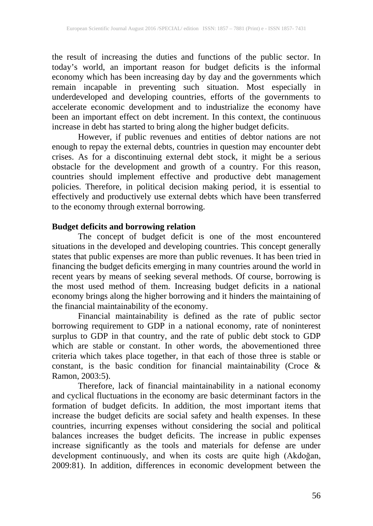the result of increasing the duties and functions of the public sector. In today's world, an important reason for budget deficits is the informal economy which has been increasing day by day and the governments which remain incapable in preventing such situation. Most especially in underdeveloped and developing countries, efforts of the governments to accelerate economic development and to industrialize the economy have been an important effect on debt increment. In this context, the continuous increase in debt has started to bring along the higher budget deficits.

However, if public revenues and entities of debtor nations are not enough to repay the external debts, countries in question may encounter debt crises. As for a discontinuing external debt stock, it might be a serious obstacle for the development and growth of a country. For this reason, countries should implement effective and productive debt management policies. Therefore, in political decision making period, it is essential to effectively and productively use external debts which have been transferred to the economy through external borrowing.

### **Budget deficits and borrowing relation**

The concept of budget deficit is one of the most encountered situations in the developed and developing countries. This concept generally states that public expenses are more than public revenues. It has been tried in financing the budget deficits emerging in many countries around the world in recent years by means of seeking several methods. Of course, borrowing is the most used method of them. Increasing budget deficits in a national economy brings along the higher borrowing and it hinders the maintaining of the financial maintainability of the economy.

Financial maintainability is defined as the rate of public sector borrowing requirement to GDP in a national economy, rate of noninterest surplus to GDP in that country, and the rate of public debt stock to GDP which are stable or constant. In other words, the abovementioned three criteria which takes place together, in that each of those three is stable or constant, is the basic condition for financial maintainability (Croce & Ramon, 2003:5).

Therefore, lack of financial maintainability in a national economy and cyclical fluctuations in the economy are basic determinant factors in the formation of budget deficits. In addition, the most important items that increase the budget deficits are social safety and health expenses. In these countries, incurring expenses without considering the social and political balances increases the budget deficits. The increase in public expenses increase significantly as the tools and materials for defense are under development continuously, and when its costs are quite high (Akdoğan, 2009:81). In addition, differences in economic development between the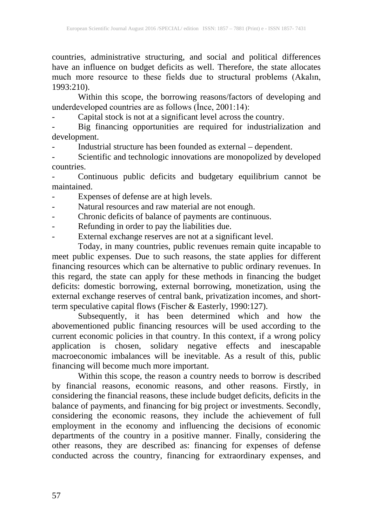countries, administrative structuring, and social and political differences have an influence on budget deficits as well. Therefore, the state allocates much more resource to these fields due to structural problems (Akalın, 1993:210).

Within this scope, the borrowing reasons/factors of developing and underdeveloped countries are as follows (İnce, 2001:14):

- Capital stock is not at a significant level across the country.

- Big financing opportunities are required for industrialization and development.

- Industrial structure has been founded as external – dependent.

Scientific and technologic innovations are monopolized by developed countries.

- Continuous public deficits and budgetary equilibrium cannot be maintained.

- Expenses of defense are at high levels.
- Natural resources and raw material are not enough.
- Chronic deficits of balance of payments are continuous.
- Refunding in order to pay the liabilities due.
- External exchange reserves are not at a significant level.

Today, in many countries, public revenues remain quite incapable to meet public expenses. Due to such reasons, the state applies for different financing resources which can be alternative to public ordinary revenues. In this regard, the state can apply for these methods in financing the budget deficits: domestic borrowing, external borrowing, monetization, using the external exchange reserves of central bank, privatization incomes, and shortterm speculative capital flows (Fischer & Easterly, 1990:127).

Subsequently, it has been determined which and how the abovementioned public financing resources will be used according to the current economic policies in that country. In this context, if a wrong policy application is chosen, solidary negative effects and inescapable macroeconomic imbalances will be inevitable. As a result of this, public financing will become much more important.

Within this scope, the reason a country needs to borrow is described by financial reasons, economic reasons, and other reasons. Firstly, in considering the financial reasons, these include budget deficits, deficits in the balance of payments, and financing for big project or investments. Secondly, considering the economic reasons, they include the achievement of full employment in the economy and influencing the decisions of economic departments of the country in a positive manner. Finally, considering the other reasons, they are described as: financing for expenses of defense conducted across the country, financing for extraordinary expenses, and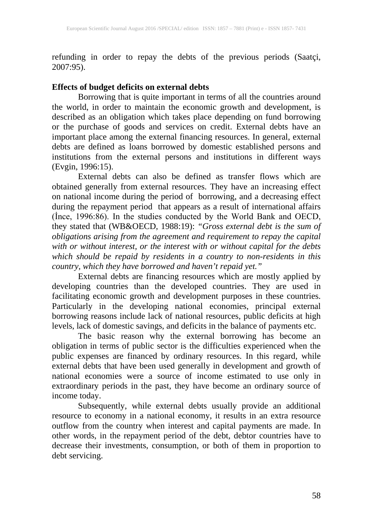refunding in order to repay the debts of the previous periods (Saatçi, 2007:95).

#### **Effects of budget deficits on external debts**

Borrowing that is quite important in terms of all the countries around the world, in order to maintain the economic growth and development, is described as an obligation which takes place depending on fund borrowing or the purchase of goods and services on credit. External debts have an important place among the external financing resources. In general, external debts are defined as loans borrowed by domestic established persons and institutions from the external persons and institutions in different ways (Evgin, 1996:15).

External debts can also be defined as transfer flows which are obtained generally from external resources. They have an increasing effect on national income during the period of borrowing, and a decreasing effect during the repayment period that appears as a result of international affairs (İnce, 1996:86). In the studies conducted by the World Bank and OECD, they stated that (WB&OECD, 1988:19): *"Gross external debt is the sum of obligations arising from the agreement and requirement to repay the capital with or without interest, or the interest with or without capital for the debts which should be repaid by residents in a country to non-residents in this country, which they have borrowed and haven't repaid yet."*

External debts are financing resources which are mostly applied by developing countries than the developed countries. They are used in facilitating economic growth and development purposes in these countries. Particularly in the developing national economies, principal external borrowing reasons include lack of national resources, public deficits at high levels, lack of domestic savings, and deficits in the balance of payments etc.

The basic reason why the external borrowing has become an obligation in terms of public sector is the difficulties experienced when the public expenses are financed by ordinary resources. In this regard, while external debts that have been used generally in development and growth of national economies were a source of income estimated to use only in extraordinary periods in the past, they have become an ordinary source of income today.

Subsequently, while external debts usually provide an additional resource to economy in a national economy, it results in an extra resource outflow from the country when interest and capital payments are made. In other words, in the repayment period of the debt, debtor countries have to decrease their investments, consumption, or both of them in proportion to debt servicing.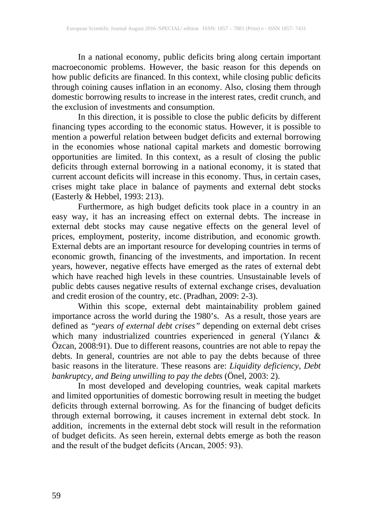In a national economy, public deficits bring along certain important macroeconomic problems. However, the basic reason for this depends on how public deficits are financed. In this context, while closing public deficits through coining causes inflation in an economy. Also, closing them through domestic borrowing results to increase in the interest rates, credit crunch, and the exclusion of investments and consumption.

In this direction, it is possible to close the public deficits by different financing types according to the economic status. However, it is possible to mention a powerful relation between budget deficits and external borrowing in the economies whose national capital markets and domestic borrowing opportunities are limited. In this context, as a result of closing the public deficits through external borrowing in a national economy, it is stated that current account deficits will increase in this economy. Thus, in certain cases, crises might take place in balance of payments and external debt stocks (Easterly & Hebbel, 1993: 213).

Furthermore, as high budget deficits took place in a country in an easy way, it has an increasing effect on external debts. The increase in external debt stocks may cause negative effects on the general level of prices, employment, posterity, income distribution, and economic growth. External debts are an important resource for developing countries in terms of economic growth, financing of the investments, and importation. In recent years, however, negative effects have emerged as the rates of external debt which have reached high levels in these countries. Unsustainable levels of public debts causes negative results of external exchange crises, devaluation and credit erosion of the country, etc. (Pradhan, 2009: 2-3).

Within this scope, external debt maintainability problem gained importance across the world during the 1980's. As a result, those years are defined as *"years of external debt crises"* depending on external debt crises which many industrialized countries experienced in general (Yılancı & Özcan, 2008:91). Due to different reasons, countries are not able to repay the debts. In general, countries are not able to pay the debts because of three basic reasons in the literature. These reasons are: *Liquidity deficiency, Debt bankruptcy, and Being unwilling to pay the debts* (Önel, 2003: 2).

In most developed and developing countries, weak capital markets and limited opportunities of domestic borrowing result in meeting the budget deficits through external borrowing. As for the financing of budget deficits through external borrowing, it causes increment in external debt stock. In addition, increments in the external debt stock will result in the reformation of budget deficits. As seen herein, external debts emerge as both the reason and the result of the budget deficits (Arıcan, 2005: 93).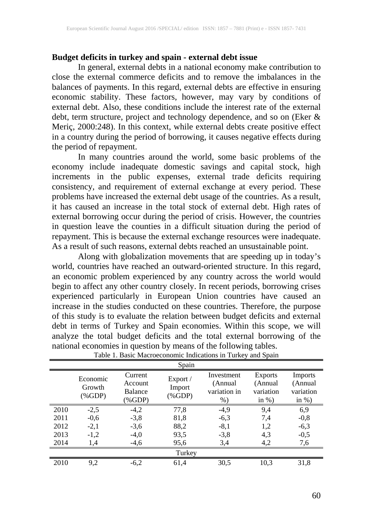#### **Budget deficits in turkey and spain - external debt issue**

In general, external debts in a national economy make contribution to close the external commerce deficits and to remove the imbalances in the balances of payments. In this regard, external debts are effective in ensuring economic stability. These factors, however, may vary by conditions of external debt. Also, these conditions include the interest rate of the external debt, term structure, project and technology dependence, and so on (Eker & Meriç, 2000:248). In this context, while external debts create positive effect in a country during the period of borrowing, it causes negative effects during the period of repayment.

In many countries around the world, some basic problems of the economy include inadequate domestic savings and capital stock, high increments in the public expenses, external trade deficits requiring consistency, and requirement of external exchange at every period. These problems have increased the external debt usage of the countries. As a result, it has caused an increase in the total stock of external debt. High rates of external borrowing occur during the period of crisis. However, the countries in question leave the counties in a difficult situation during the period of repayment. This is because the external exchange resources were inadequate. As a result of such reasons, external debts reached an unsustainable point.

Along with globalization movements that are speeding up in today's world, countries have reached an outward-oriented structure. In this regard, an economic problem experienced by any country across the world would begin to affect any other country closely. In recent periods, borrowing crises experienced particularly in European Union countries have caused an increase in the studies conducted on these countries. Therefore, the purpose of this study is to evaluate the relation between budget deficits and external debt in terms of Turkey and Spain economies. Within this scope, we will analyze the total budget deficits and the total external borrowing of the national economies in question by means of the following tables.

|        |                                 |                                       | Spain                           |                                                |                                                     |                                              |
|--------|---------------------------------|---------------------------------------|---------------------------------|------------------------------------------------|-----------------------------------------------------|----------------------------------------------|
|        | Economic<br>Growth<br>$(\%GDP)$ | Current<br>Account<br>Balance<br>%GDP | Export /<br>Import<br>$(\%GDP)$ | Investment<br>(Annual<br>variation in<br>$%$ ) | <b>Exports</b><br>(Annual<br>variation<br>in $\%$ ) | Imports<br>(Annual<br>variation<br>in $\%$ ) |
| 2010   | $-2,5$                          | $-4,2$                                | 77,8                            | $-4,9$                                         | 9,4                                                 | 6,9                                          |
| 2011   | $-0,6$                          | $-3,8$                                | 81,8                            | $-6,3$                                         | 7,4                                                 | $-0,8$                                       |
| 2012   | $-2,1$                          | $-3,6$                                | 88,2                            | $-8,1$                                         | 1,2                                                 | $-6,3$                                       |
| 2013   | $-1,2$                          | $-4,0$                                | 93,5                            | $-3,8$                                         | 4,3                                                 | $-0,5$                                       |
| 2014   | 1,4                             | $-4,6$                                | 95,6                            | 3,4                                            | 4,2                                                 | 7,6                                          |
| Turkey |                                 |                                       |                                 |                                                |                                                     |                                              |
| 2010   | 9,2                             | $-6,2$                                | 61,4                            | 30,5                                           | 10,3                                                | 31,8                                         |

| Table 1. Basic Macroeconomic Indications in Turkey and Spain |  |
|--------------------------------------------------------------|--|
|--------------------------------------------------------------|--|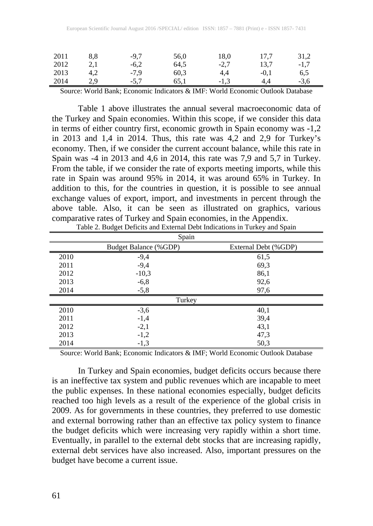| 2011 | 8.8 | $-9.7$ | 56,0 | 18,0   | 17.7   | 31.2   |
|------|-----|--------|------|--------|--------|--------|
| 2012 | 2.1 | $-6,2$ | 64,5 | $-2.7$ | 13.7   | $-1.7$ |
| 2013 | 4.2 | $-7.9$ | 60.3 | 4.4    | $-0.1$ | 6,5    |
| 2014 | 2.9 | $-5.7$ | 65.1 | $-1.3$ | 4.4    | $-3,6$ |

Source: World Bank; Economic Indicators & IMF: World Economic Outlook Database

Table 1 above illustrates the annual several macroeconomic data of the Turkey and Spain economies. Within this scope, if we consider this data in terms of either country first, economic growth in Spain economy was -1,2 in 2013 and 1,4 in 2014. Thus, this rate was 4,2 and 2,9 for Turkey's economy. Then, if we consider the current account balance, while this rate in Spain was -4 in 2013 and 4,6 in 2014, this rate was 7,9 and 5,7 in Turkey. From the table, if we consider the rate of exports meeting imports, while this rate in Spain was around 95% in 2014, it was around 65% in Turkey. In addition to this, for the countries in question, it is possible to see annual exchange values of export, import, and investments in percent through the above table. Also, it can be seen as illustrated on graphics, various comparative rates of Turkey and Spain economies, in the Appendix.

|        | Spain                        |                      |  |  |
|--------|------------------------------|----------------------|--|--|
|        | <b>Budget Balance (%GDP)</b> | External Debt (%GDP) |  |  |
| 2010   | $-9,4$                       | 61,5                 |  |  |
| 2011   | $-9,4$                       | 69,3                 |  |  |
| 2012   | $-10,3$                      | 86,1                 |  |  |
| 2013   | $-6,8$                       | 92,6                 |  |  |
| 2014   | $-5,8$                       | 97,6                 |  |  |
| Turkey |                              |                      |  |  |
| 2010   | $-3,6$                       | 40,1                 |  |  |
| 2011   | $-1,4$                       | 39,4                 |  |  |
| 2012   | $-2,1$                       | 43,1                 |  |  |
| 2013   | $-1,2$                       | 47,3                 |  |  |
| 2014   | $-1,3$                       | 50,3                 |  |  |

|  | Table 2. Budget Deficits and External Debt Indications in Turkey and Spain |
|--|----------------------------------------------------------------------------|
|--|----------------------------------------------------------------------------|

Source: World Bank; Economic Indicators & IMF; World Economic Outlook Database

In Turkey and Spain economies, budget deficits occurs because there is an ineffective tax system and public revenues which are incapable to meet the public expenses. In these national economies especially, budget deficits reached too high levels as a result of the experience of the global crisis in 2009. As for governments in these countries, they preferred to use domestic and external borrowing rather than an effective tax policy system to finance the budget deficits which were increasing very rapidly within a short time. Eventually, in parallel to the external debt stocks that are increasing rapidly, external debt services have also increased. Also, important pressures on the budget have become a current issue.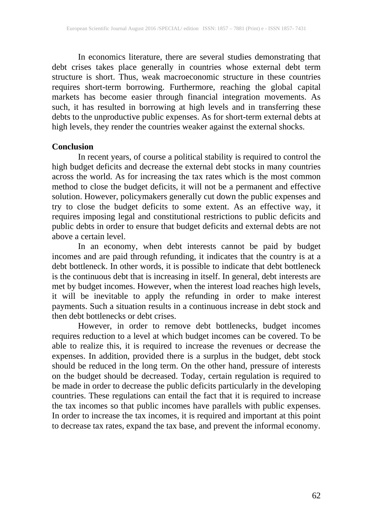In economics literature, there are several studies demonstrating that debt crises takes place generally in countries whose external debt term structure is short. Thus, weak macroeconomic structure in these countries requires short-term borrowing. Furthermore, reaching the global capital markets has become easier through financial integration movements. As such, it has resulted in borrowing at high levels and in transferring these debts to the unproductive public expenses. As for short-term external debts at high levels, they render the countries weaker against the external shocks.

#### **Conclusion**

In recent years, of course a political stability is required to control the high budget deficits and decrease the external debt stocks in many countries across the world. As for increasing the tax rates which is the most common method to close the budget deficits, it will not be a permanent and effective solution. However, policymakers generally cut down the public expenses and try to close the budget deficits to some extent. As an effective way, it requires imposing legal and constitutional restrictions to public deficits and public debts in order to ensure that budget deficits and external debts are not above a certain level.

In an economy, when debt interests cannot be paid by budget incomes and are paid through refunding, it indicates that the country is at a debt bottleneck. In other words, it is possible to indicate that debt bottleneck is the continuous debt that is increasing in itself. In general, debt interests are met by budget incomes. However, when the interest load reaches high levels, it will be inevitable to apply the refunding in order to make interest payments. Such a situation results in a continuous increase in debt stock and then debt bottlenecks or debt crises.

However, in order to remove debt bottlenecks, budget incomes requires reduction to a level at which budget incomes can be covered. To be able to realize this, it is required to increase the revenues or decrease the expenses. In addition, provided there is a surplus in the budget, debt stock should be reduced in the long term. On the other hand, pressure of interests on the budget should be decreased. Today, certain regulation is required to be made in order to decrease the public deficits particularly in the developing countries. These regulations can entail the fact that it is required to increase the tax incomes so that public incomes have parallels with public expenses. In order to increase the tax incomes, it is required and important at this point to decrease tax rates, expand the tax base, and prevent the informal economy.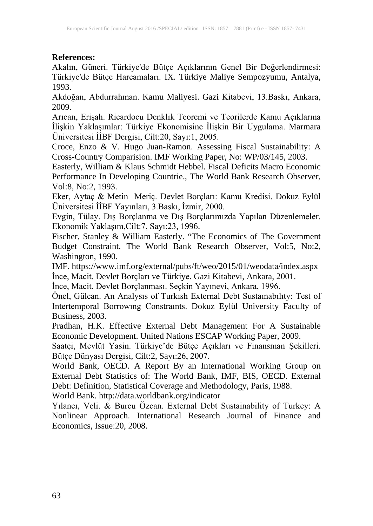### **References:**

Akalın, Güneri. Türkiye'de Bütçe Açıklarının Genel Bir Değerlendirmesi: Türkiye'de Bütçe Harcamaları. IX. Türkiye Maliye Sempozyumu, Antalya, 1993.

Akdoğan, Abdurrahman. Kamu Maliyesi. Gazi Kitabevi, 13.Baskı, Ankara, 2009.

Arıcan, Erişah. Ricardocu Denklik Teoremi ve Teorilerde Kamu Açıklarına İlişkin Yaklaşımlar: Türkiye Ekonomisine İlişkin Bir Uygulama. Marmara Üniversitesi İİBF Dergisi, Cilt:20, Sayı:1, 2005.

Croce, Enzo & V. Hugo Juan-Ramon. Assessing Fiscal Sustainability: A Cross-Country Comparision. IMF Working Paper, No: WP/03/145, 2003.

Easterly, William & Klaus Schmidt Hebbel. Fiscal Deficits Macro Economic Performance In Developing Countrie., The World Bank Research Observer, Vol:8, No:2, 1993.

Eker, Aytaç & Metin Meriç. Devlet Borçları: Kamu Kredisi. Dokuz Eylül Üniversitesi İİBF Yayınları, 3.Baskı, İzmir, 2000.

Evgin, Tülay. Dış Borçlanma ve Dış Borçlarımızda Yapılan Düzenlemeler. Ekonomik Yaklaşım,Cilt:7, Sayı:23, 1996.

Fischer, Stanley & William Easterly. "The Economics of The Government Budget Constraint. The World Bank Research Observer, Vol:5, No:2, Washington, 1990.

IMF. https://www.imf.org/external/pubs/ft/weo/2015/01/weodata/index.aspx İnce, Macit. Devlet Borçları ve Türkiye. Gazi Kitabevi, Ankara, 2001.

İnce, Macit. Devlet Borçlanması. Seçkin Yayınevi, Ankara, 1996.

Önel, Gülcan. An Analysıs of Turkısh External Debt Sustaınabılıty: Test of Intertemporal Borrowıng Constraınts. Dokuz Eylül University Faculty of Business, 2003.

Pradhan, H.K. Effective External Debt Management For A Sustainable Economic Development. United Nations ESCAP Working Paper, 2009.

Saatçi, Mevlüt Yasin. Türkiye'de Bütçe Açıkları ve Finansman Şekilleri. Bütçe Dünyası Dergisi, Cilt:2, Sayı:26, 2007.

World Bank, OECD. A Report By an International Working Group on External Debt Statistics of: The World Bank, IMF, BIS, OECD. External Debt: Definition, Statistical Coverage and Methodology, Paris, 1988.

World Bank. http://data.worldbank.org/indicator

Yılancı, Veli. & Burcu Özcan. External Debt Sustainability of Turkey: A Nonlinear Approach. International Research Journal of Finance and Economics, Issue:20, 2008.